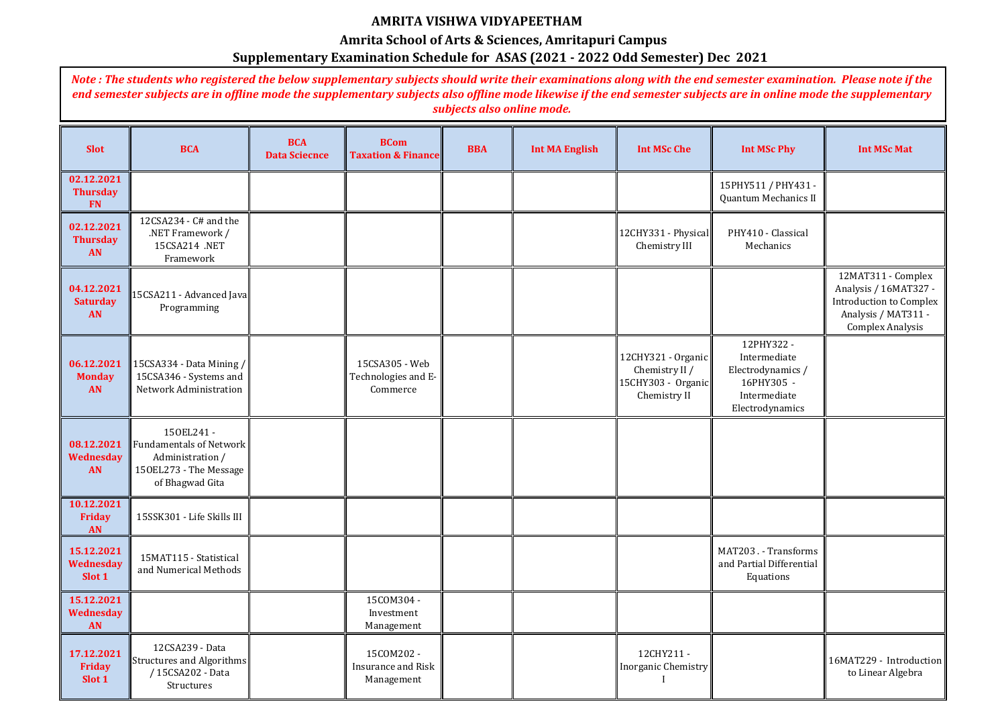| <b>Slot</b>                                 | <b>BCA</b>                                                                                            | <b>BCA</b><br><b>Data Sciecnce</b> | <b>BCom</b><br><b>Taxation &amp; Finance</b>          | <b>BBA</b> | <b>Int MA English</b> | <b>Int MSc Che</b>                                                         | <b>Int MSc Phy</b>                                                                              | <b>Int MSc Mat</b>                                                                                  |
|---------------------------------------------|-------------------------------------------------------------------------------------------------------|------------------------------------|-------------------------------------------------------|------------|-----------------------|----------------------------------------------------------------------------|-------------------------------------------------------------------------------------------------|-----------------------------------------------------------------------------------------------------|
| 02.12.2021<br><b>Thursday</b><br><b>FN</b>  |                                                                                                       |                                    |                                                       |            |                       |                                                                            | 15PHY511 / PHY431 -<br>Quantum Mechanics II                                                     |                                                                                                     |
| 02.12.2021<br><b>Thursday</b><br><b>AN</b>  | 12CSA234 - C# and the<br>.NET Framework /<br>15CSA214 .NET<br>Framework                               |                                    |                                                       |            |                       | 12CHY331 - Physical<br>Chemistry III                                       | PHY410 - Classical<br>Mechanics                                                                 |                                                                                                     |
| 04.12.2021<br><b>Saturday</b><br><b>AN</b>  | 15CSA211 - Advanced Java<br>Programming                                                               |                                    |                                                       |            |                       |                                                                            |                                                                                                 | 12MAT311 - Con<br>Analysis / 16MAT<br>Introduction to Co<br>Analysis / MAT3<br><b>Complex Analy</b> |
| 06.12.2021<br><b>Monday</b><br><b>AN</b>    | 15CSA334 - Data Mining /<br>15CSA346 - Systems and<br>Network Administration                          |                                    | 15CSA305 - Web<br>Technologies and E-<br>Commerce     |            |                       | 12CHY321 - Organic<br>Chemistry II /<br>15CHY303 - Organic<br>Chemistry II | 12PHY322-<br>Intermediate<br>Electrodynamics /<br>16PHY305 -<br>Intermediate<br>Electrodynamics |                                                                                                     |
| 08.12.2021<br><b>Wednesday</b><br><b>AN</b> | 150EL241-<br>Fundamentals of Network<br>Administration /<br>150EL273 - The Message<br>of Bhagwad Gita |                                    |                                                       |            |                       |                                                                            |                                                                                                 |                                                                                                     |
| 10.12.2021<br><b>Friday</b><br><b>AN</b>    | 15SSK301 - Life Skills III                                                                            |                                    |                                                       |            |                       |                                                                            |                                                                                                 |                                                                                                     |
| 15.12.2021<br><b>Wednesday</b><br>Slot 1    | 15MAT115 - Statistical<br>and Numerical Methods                                                       |                                    |                                                       |            |                       |                                                                            | MAT203. - Transforms<br>and Partial Differential<br>Equations                                   |                                                                                                     |
| 15.12.2021<br>Wednesday<br><b>AN</b>        |                                                                                                       |                                    | 15COM304 -<br>Investment<br>Management                |            |                       |                                                                            |                                                                                                 |                                                                                                     |
| 17.12.2021<br>Friday<br>Slot 1              | 12CSA239 - Data<br>Structures and Algorithms<br>/ 15CSA202 - Data<br>Structures                       |                                    | 15COM202 -<br><b>Insurance and Risk</b><br>Management |            |                       | 12CHY211-<br>Inorganic Chemistry                                           |                                                                                                 | 16MAT229 - Introd<br>to Linear Algeb                                                                |

| <b>Int MSc Phy</b>                                                                              | <b>Int MSc Mat</b>                                                                                                              |
|-------------------------------------------------------------------------------------------------|---------------------------------------------------------------------------------------------------------------------------------|
| 15PHY511 / PHY431 -<br>Quantum Mechanics II                                                     |                                                                                                                                 |
| PHY410 - Classical<br>Mechanics                                                                 |                                                                                                                                 |
|                                                                                                 | 12MAT311 - Complex<br>Analysis / 16MAT327 -<br><b>Introduction to Complex</b><br>Analysis / MAT311 -<br><b>Complex Analysis</b> |
| 12PHY322-<br>Intermediate<br>Electrodynamics /<br>16PHY305 -<br>Intermediate<br>Electrodynamics |                                                                                                                                 |
|                                                                                                 |                                                                                                                                 |
|                                                                                                 |                                                                                                                                 |
| MAT203. - Transforms<br>and Partial Differential<br>Equations                                   |                                                                                                                                 |
|                                                                                                 |                                                                                                                                 |
|                                                                                                 | 16MAT229 - Introduction<br>to Linear Algebra                                                                                    |

## **AMRITA VISHWA VIDYAPEETHAM**

## **Amrita School of Arts & Sciences, Amritapuri Campus**

## **Supplementary Examination Schedule for ASAS (2021 - 2022 Odd Semester) Dec 2021**

*Note : The students who registered the below supplementary subjects should write their examinations along with the end semester examination. Please note if the end semester subjects are in offline mode the supplementary subjects also offline mode likewise if the end semester subjects are in online mode the supplementary subjects also online mode.*